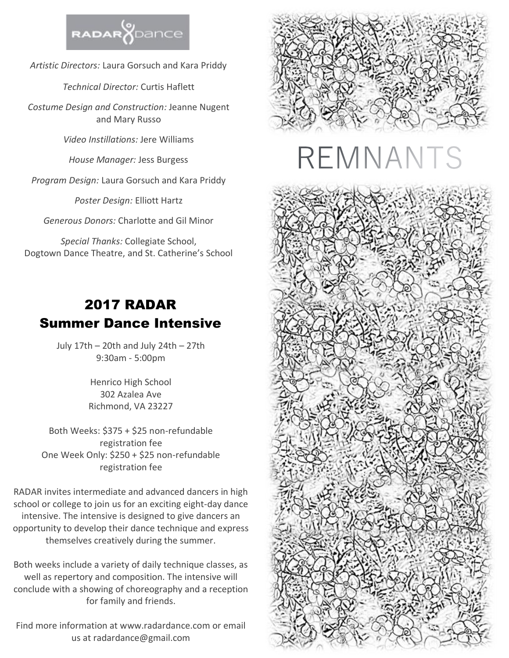

*Artistic Directors:* Laura Gorsuch and Kara Priddy

*Technical Director:* Curtis Haflett

*Costume Design and Construction:* Jeanne Nugent and Mary Russo

*Video Instillations:* Jere Williams

*House Manager:* Jess Burgess

*Program Design:* Laura Gorsuch and Kara Priddy

*Poster Design:* Elliott Hartz

*Generous Donors:* Charlotte and Gil Minor

*Special Thanks:* Collegiate School, Dogtown Dance Theatre, and St. Catherine's School

# 2017 RADAR Summer Dance Intensive

July 17th – 20th and July 24th – 27th 9:30am - 5:00pm

> Henrico High School 302 Azalea Ave Richmond, VA 23227

Both Weeks: \$375 + \$25 non-refundable registration fee One Week Only: \$250 + \$25 non-refundable registration fee

RADAR invites intermediate and advanced dancers in high school or college to join us for an exciting eight-day dance intensive. The intensive is designed to give dancers an opportunity to develop their dance technique and express themselves creatively during the summer.

Both weeks include a variety of daily technique classes, as well as repertory and composition. The intensive will conclude with a showing of choreography and a reception for family and friends.

Find more information at www.radardance.com or email us at radardance@gmail.com